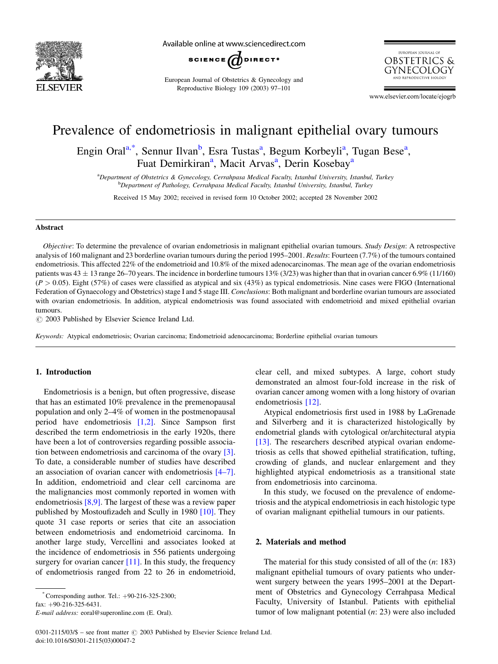

Available online at www.sciencedirect.com



European Journal of Obstetrics & Gynecology and Reproductive Biology 109 (2003) 97–101



www.elsevier.com/locate/ejogrb

# Prevalence of endometriosis in malignant epithelial ovary tumours

Engin Oral<sup>a,\*</sup>, Sennur Ilvan<sup>b</sup>, Esra Tustas<sup>a</sup>, Begum Korbeyli<sup>a</sup>, Tugan Bese<sup>a</sup>, Fuat Demirkiran<sup>a</sup>, Macit Arvas<sup>a</sup>, Derin Kosebay<sup>a</sup>

a Department of Obstetrics & Gynecology, Cerrahpasa Medical Faculty, Istanbul University, Istanbul, Turkey **b**<br>Department of Pathology, Cerrahpasa Medical Faculty, Istanbul University, Istanbul, Turkey

Received 15 May 2002; received in revised form 10 October 2002; accepted 28 November 2002

#### Abstract

Objective: To determine the prevalence of ovarian endometriosis in malignant epithelial ovarian tumours. Study Design: A retrospective analysis of 160 malignant and 23 borderline ovarian tumours during the period 1995–2001. Results: Fourteen (7.7%) of the tumours contained endometriosis. This affected 22% of the endometrioid and 10.8% of the mixed adenocarcinomas. The mean age of the ovarian endometriosis patients was  $43 \pm 13$  range 26–70 years. The incidence in borderline tumours 13% (3/23) was higher than that in ovarian cancer 6.9% (11/160)  $(P > 0.05)$ . Eight (57%) of cases were classified as atypical and six (43%) as typical endometriosis. Nine cases were FIGO (International Federation of Gynaecology and Obstetrics) stage I and 5 stage III. *Conclusions*: Both malignant and borderline ovarian tumours are associated with ovarian endometriosis. In addition, atypical endometriosis was found associated with endometrioid and mixed epithelial ovarian tumours.

 $\odot$  2003 Published by Elsevier Science Ireland Ltd.

Keywords: Atypical endometriosis; Ovarian carcinoma; Endometrioid adenocarcinoma; Borderline epithelial ovarian tumours

# 1. Introduction

Endometriosis is a benign, but often progressive, disease that has an estimated 10% prevalence in the premenopausal population and only 2–4% of women in the postmenopausal period have endometriosis [\[1,2\]](#page-3-0). Since Sampson first described the term endometriosis in the early 1920s, there have been a lot of controversies regarding possible association between endometriosis and carcinoma of the ovary [\[3\]](#page-3-0). To date, a considerable number of studies have described an association of ovarian cancer with endometriosis [\[4–7\]](#page-3-0). In addition, endometrioid and clear cell carcinoma are the malignancies most commonly reported in women with endometriosis [\[8,9\]](#page-3-0). The largest of these was a review paper published by Mostoufizadeh and Scully in 1980 [\[10\].](#page-3-0) They quote 31 case reports or series that cite an association between endometriosis and endometrioid carcinoma. In another large study, Vercellini and associates looked at the incidence of endometriosis in 556 patients undergoing surgery for ovarian cancer  $[11]$ . In this study, the frequency of endometriosis ranged from 22 to 26 in endometrioid,

clear cell, and mixed subtypes. A large, cohort study demonstrated an almost four-fold increase in the risk of ovarian cancer among women with a long history of ovarian endometriosis [\[12\].](#page-3-0)

Atypical endometriosis first used in 1988 by LaGrenade and Silverberg and it is characterized histologically by endometrial glands with cytological or/architectural atypia [\[13\]](#page-3-0). The researchers described atypical ovarian endometriosis as cells that showed epithelial stratification, tufting, crowding of glands, and nuclear enlargement and they highlighted atypical endometriosis as a transitional state from endometriosis into carcinoma.

In this study, we focused on the prevalence of endometriosis and the atypical endometriosis in each histologic type of ovarian malignant epithelial tumours in our patients.

### 2. Materials and method

The material for this study consisted of all of the  $(n: 183)$ malignant epithelial tumours of ovary patients who underwent surgery between the years 1995–2001 at the Department of Obstetrics and Gynecology Cerrahpasa Medical Faculty, University of Istanbul. Patients with epithelial tumor of low malignant potential (n: 23) were also included

 $^*$ Corresponding author. Tel.:  $+90-216-325-2300$ ;

fax:  $+90-216-325-6431$ .

E-mail address: eoral@superonline.com (E. Oral).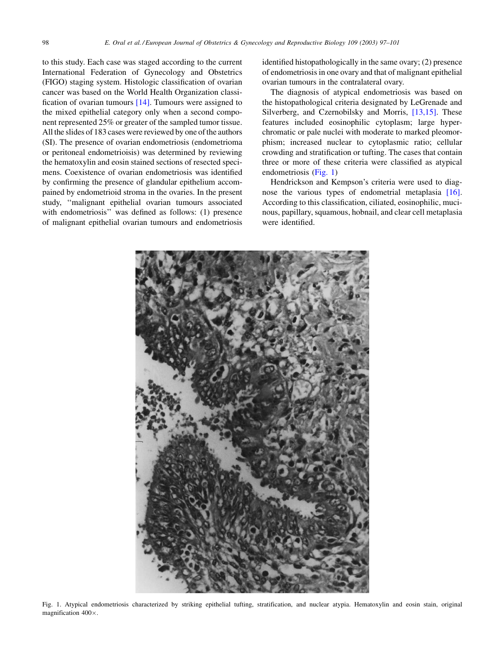to this study. Each case was staged according to the current International Federation of Gynecology and Obstetrics (FIGO) staging system. Histologic classification of ovarian cancer was based on the World Health Organization classification of ovarian tumours [\[14\].](#page-3-0) Tumours were assigned to the mixed epithelial category only when a second component represented 25% or greater of the sampled tumor tissue. All the slides of 183 cases were reviewed by one of the authors (SI). The presence of ovarian endometriosis (endometrioma or peritoneal endometrioisis) was determined by reviewing the hematoxylin and eosin stained sections of resected specimens. Coexistence of ovarian endometriosis was identified by confirming the presence of glandular epithelium accompained by endometrioid stroma in the ovaries. In the present study, ''malignant epithelial ovarian tumours associated with endometriosis'' was defined as follows: (1) presence of malignant epithelial ovarian tumours and endometriosis identified histopathologically in the same ovary; (2) presence of endometriosis in one ovary and that of malignant epithelial ovarian tumours in the contralateral ovary.

The diagnosis of atypical endometriosis was based on the histopathological criteria designated by LeGrenade and Silverberg, and Czernobilsky and Morris, [\[13,15\].](#page-3-0) These features included eosinophilic cytoplasm; large hyperchromatic or pale nuclei with moderate to marked pleomorphism; increased nuclear to cytoplasmic ratio; cellular crowding and stratification or tufting. The cases that contain three or more of these criteria were classified as atypical endometriosis (Fig. 1)

Hendrickson and Kempson's criteria were used to diagnose the various types of endometrial metaplasia [\[16\]](#page-3-0). According to this classification, ciliated, eosinophilic, mucinous, papillary, squamous, hobnail, and clear cell metaplasia were identified.



Fig. 1. Atypical endometriosis characterized by striking epithelial tufting, stratification, and nuclear atypia. Hematoxylin and eosin stain, original magnification  $400\times$ .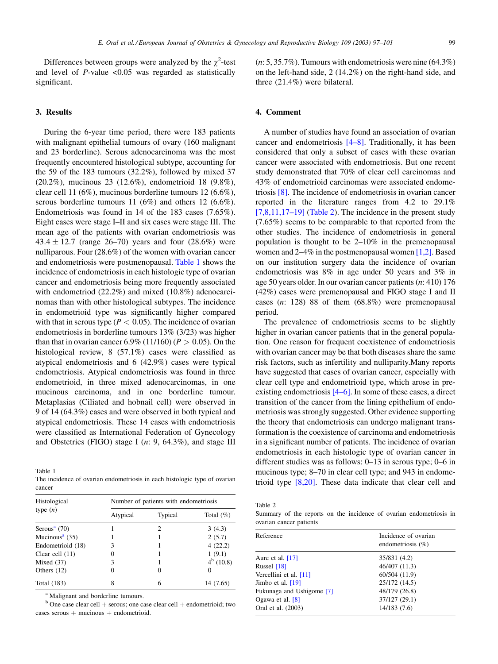<span id="page-2-0"></span>Differences between groups were analyzed by the  $\chi^2$ -test and level of  $P$ -value <0.05 was regarded as statistically significant.

### 3. Results

During the 6-year time period, there were 183 patients with malignant epithelial tumours of ovary (160 malignant and 23 borderline). Serous adenocarcinoma was the most frequently encountered histological subtype, accounting for the 59 of the 183 tumours (32.2%), followed by mixed 37 (20.2%), mucinous 23 (12.6%), endometrioid 18 (9.8%), clear cell 11 (6%), mucinous borderline tumours 12 (6.6%), serous borderline tumours 11 (6%) and others 12 (6.6%). Endometriosis was found in 14 of the 183 cases (7.65%). Eight cases were stage I–II and six cases were stage III. The mean age of the patients with ovarian endometriosis was  $43.4 \pm 12.7$  (range 26–70) years and four (28.6%) were nulliparous. Four (28.6%) of the women with ovarian cancer and endometriosis were postmenopausal. Table 1 shows the incidence of endometriosis in each histologic type of ovarian cancer and endometriosis being more frequently associated with endometriod (22.2%) and mixed (10.8%) adenocarcinomas than with other histological subtypes. The incidence in endometrioid type was significantly higher compared with that in serous type ( $P < 0.05$ ). The incidence of ovarian endometriosis in borderline tumours 13% (3/23) was higher than that in ovarian cancer 6.9% (11/160) ( $P > 0.05$ ). On the histological review, 8 (57.1%) cases were classified as atypical endometriosis and 6 (42.9%) cases were typical endometriosis. Atypical endometriosis was found in three endometrioid, in three mixed adenocarcinomas, in one mucinous carcinoma, and in one borderline tumour. Metaplasias (Ciliated and hobnail cell) were observed in 9 of 14 (64.3%) cases and were observed in both typical and atypical endometriosis. These 14 cases with endometriosis were classified as International Federation of Gynecology and Obstetrics (FIGO) stage I ( $n$ : 9, 64.3%), and stage III

| Table 1                                                                   |  |  |  |
|---------------------------------------------------------------------------|--|--|--|
| The incidence of ovarian endometriosis in each histologic type of ovarian |  |  |  |
| cancer                                                                    |  |  |  |

| Histological<br>type $(n)$   | Number of patients with endometriosis |         |              |  |
|------------------------------|---------------------------------------|---------|--------------|--|
|                              | Atypical                              | Typical | Total $(\%)$ |  |
| Serous <sup>a</sup> $(70)$   |                                       | 2       | 3(4.3)       |  |
| Mucinous <sup>a</sup> $(35)$ |                                       |         | 2(5.7)       |  |
| Endometrioid (18)            | 3                                     |         | 4(22.2)      |  |
| Clear cell $(11)$            |                                       |         | 1(9.1)       |  |
| Mixed $(37)$                 | 3                                     |         | $4^b$ (10.8) |  |
| Others $(12)$                |                                       | 0       | 0            |  |
| <b>Total</b> (183)           | 8                                     | 6       | 14 (7.65)    |  |

<sup>a</sup> Malignant and borderline tumours.

 $b$  One case clear cell  $+$  serous; one case clear cell  $+$  endometrioid; two cases serous  $+$  mucinous  $+$  endometrioid.

 $(n: 5, 35.7\%)$ . Tumours with endometriosis were nine  $(64.3\%)$ on the left-hand side, 2 (14.2%) on the right-hand side, and three (21.4%) were bilateral.

## 4. Comment

A number of studies have found an association of ovarian cancer and endometriosis [\[4–8\]](#page-3-0). Traditionally, it has been considered that only a subset of cases with these ovarian cancer were associated with endometriosis. But one recent study demonstrated that 70% of clear cell carcinomas and 43% of endometrioid carcinomas were associated endometriosis [\[8\].](#page-3-0) The incidence of endometriosis in ovarian cancer reported in the literature ranges from 4.2 to 29.1%  $[7,8,11,17-19]$  (Table 2). The incidence in the present study (7.65%) seems to be comparable to that reported from the other studies. The incidence of endometriosis in general population is thought to be 2–10% in the premenopausal women and 2–4% in the postmenopausal women [\[1,2\]](#page-3-0). Based on our institution surgery data the incidence of ovarian endometriosis was 8% in age under 50 years and 3% in age 50 years older. In our ovarian cancer patients (n: 410) 176 (42%) cases were premenopausal and FIGO stage I and II cases  $(n: 128)$  88 of them  $(68.8%)$  were premenopausal period.

The prevalence of endometriosis seems to be slightly higher in ovarian cancer patients that in the general population. One reason for frequent coexistence of endometriosis with ovarian cancer may be that both diseases share the same risk factors, such as infertility and nulliparity.Many reports have suggested that cases of ovarian cancer, especially with clear cell type and endometrioid type, which arose in preexisting endometriosis [\[4–6\].](#page-3-0) In some of these cases, a direct transition of the cancer from the lining epithelium of endometriosis was strongly suggested. Other evidence supporting the theory that endometriosis can undergo malignant transformation is the coexistence of carcinoma and endometriosis in a significant number of patients. The incidence of ovarian endometriosis in each histologic type of ovarian cancer in different studies was as follows: 0–13 in serous type; 0–6 in mucinous type; 8–70 in clear cell type; and 943 in endometrioid type [\[8,20\]](#page-3-0). These data indicate that clear cell and

Table 2

Summary of the reports on the incidence of ovarian endometriosis in ovarian cancer patients

| Reference                 | Incidence of ovarian<br>endometriosis $(\% )$ |  |  |
|---------------------------|-----------------------------------------------|--|--|
|                           |                                               |  |  |
| Aure et al. $[17]$        | 35/831 (4.2)                                  |  |  |
| Russel $[18]$             | 46/407 (11.3)                                 |  |  |
| Vercellini et al. [11]    | 60/504 (11.9)                                 |  |  |
| Jimbo et al. $[19]$       | 25/172 (14.5)                                 |  |  |
| Fukunaga and Ushigome [7] | 48/179 (26.8)                                 |  |  |
| Ogawa et al. $[8]$        | 37/127 (29.1)                                 |  |  |
| Oral et al. (2003)        | 14/183 (7.6)                                  |  |  |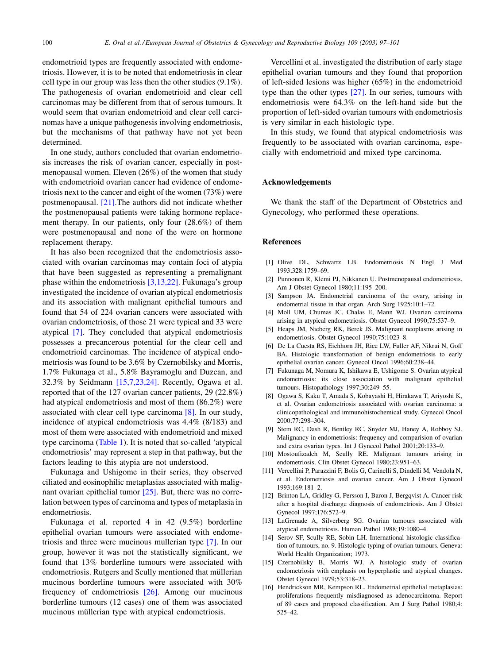<span id="page-3-0"></span>endometrioid types are frequently associated with endometriosis. However, it is to be noted that endometriosis in clear cell type in our group was less then the other studies (9.1%). The pathogenesis of ovarian endometrioid and clear cell carcinomas may be different from that of serous tumours. It would seem that ovarian endometrioid and clear cell carcinomas have a unique pathogenesis involving endometriosis, but the mechanisms of that pathway have not yet been determined.

In one study, authors concluded that ovarian endometriosis increases the risk of ovarian cancer, especially in postmenopausal women. Eleven (26%) of the women that study with endometrioid ovarian cancer had evidence of endometriosis next to the cancer and eight of the women (73%) were postmenopausal. [\[21\]](#page-4-0).The authors did not indicate whether the postmenopausal patients were taking hormone replacement therapy. In our patients, only four (28.6%) of them were postmenopausal and none of the were on hormone replacement therapy.

It has also been recognized that the endometriosis associated with ovarian carcinomas may contain foci of atypia that have been suggested as representing a premalignant phase within the endometriosis [3,13,22]. Fukunaga's group investigated the incidence of ovarian atypical endometriosis and its association with malignant epithelial tumours and found that 54 of 224 ovarian cancers were associated with ovarian endometriosis, of those 21 were typical and 33 were atypical [7]. They concluded that atypical endometriosis possesses a precancerous potential for the clear cell and endometrioid carcinomas. The incidence of atypical endometriosis was found to be 3.6% by Czernobilsky and Morris, 1.7% Fukunaga et al., 5.8% Bayramoglu and Duzcan, and 32.3% by Seidmann [15,7,23,24]. Recently, Ogawa et al. reported that of the 127 ovarian cancer patients, 29 (22.8%) had atypical endometriosis and most of them (86.2%) were associated with clear cell type carcinoma [8]. In our study, incidence of atypical endometriosis was 4.4% (8/183) and most of them were associated with endometrioid and mixed type carcinoma ([Table 1\)](#page-2-0). It is noted that so-called 'atypical endometriosis' may represent a step in that pathway, but the factors leading to this atypia are not understood.

Fukunaga and Ushigome in their series, they observed ciliated and eosinophilic metaplasias associated with malignant ovarian epithelial tumor [\[25\].](#page-4-0) But, there was no correlation between types of carcinoma and types of metaplasia in endometriosis.

Fukunaga et al. reported 4 in 42 (9.5%) borderline epithelial ovarian tumours were associated with endometriosis and three were mucinous mullerian type [7]. In our group, however it was not the statistically significant, we found that 13% borderline tumours were associated with endometriosis. Rutgers and Scully mentioned that müllerian mucinous borderline tumours were associated with 30% frequency of endometriosis [\[26\]](#page-4-0). Among our mucinous borderline tumours (12 cases) one of them was associated mucinous müllerian type with atypical endometriosis.

Vercellini et al. investigated the distribution of early stage epithelial ovarian tumours and they found that proportion of left-sided lesions was higher (65%) in the endometrioid type than the other types [\[27\].](#page-4-0) In our series, tumours with endometriosis were 64.3% on the left-hand side but the proportion of left-sided ovarian tumours with endometriosis is very similar in each histologic type.

In this study, we found that atypical endometriosis was frequently to be associated with ovarian carcinoma, especially with endometrioid and mixed type carcinoma.

#### Acknowledgements

We thank the staff of the Department of Obstetrics and Gynecology, who performed these operations.

#### References

- [1] Olive DL, Schwartz LB. Endometriosis N Engl J Med 1993;328:1759–69.
- [2] Punnonen R, Klemi PJ, Nikkanen U. Postmenopausal endometriosis. Am J Obstet Gynecol 1980;11:195–200.
- [3] Sampson JA. Endometrial carcinoma of the ovary, arising in endometrial tissue in that organ. Arch Surg 1925;10:1–72.
- [4] Moll UM, Chumas JC, Chalas E, Mann WJ. Ovarian carcinoma arising in atypical endometriosis. Obstet Gynecol 1990;75:537–9.
- [5] Heaps JM, Nieberg RK, Berek JS. Malignant neoplasms arising in endometriosis. Obstet Gynecol 1990;75:1023–8.
- [6] De La Cuesta RS, Eichhorn JH, Rice LW, Fuller AF, Nikrui N, Goff BA. Histologic transformation of benign endometriosis to early epithelial ovarian cancer. Gynecol Oncol 1996;60:238–44.
- [7] Fukunaga M, Nomura K, Ishikawa E, Ushigome S. Ovarian atypical endometriosis: its close association with malignant epithelial tumours. Histopathology 1997;30:249–55.
- [8] Ogawa S, Kaku T, Amada S, Kobayashi H, Hirakawa T, Ariyoshi K, et al. Ovarian endometriosis associated with ovarian carcinoma: a clinicopathological and immunohistochemical study. Gynecol Oncol 2000;77:298–304.
- [9] Stem RC, Dash R, Bentley RC, Snyder MJ, Haney A, Robboy SJ. Malignancy in endometriosis: frequency and comparision of ovarian and extra ovarian types. Int J Gynecol Pathol 2001;20:133–9.
- [10] Mostoufizadeh M, Scully RE. Malignant tumours arising in endometriosis. Clin Obstet Gynecol 1980;23:951–63.
- [11] Vercellini P, Parazzini F, Bolis G, Carinelli S, Dindelli M, Vendola N, et al. Endometriosis and ovarian cancer. Am J Obstet Gynecol 1993;169:181–2.
- [12] Brinton LA, Gridley G, Persson I, Baron J, Bergqvist A. Cancer risk after a hospital discharge diagnosis of endometriosis. Am J Obstet Gynecol 1997;176:572–9.
- [13] LaGrenade A, Silverberg SG. Ovarian tumours associated with atypical endometriosis. Human Pathol 1988;19:1080–4.
- [14] Serov SF, Scully RE, Sobin LH. International histologic classification of tumours, no. 9. Histologic typing of ovarian tumours. Geneva: World Health Organization; 1973.
- [15] Czernobilsky B, Morris WJ. A histologic study of ovarian endometriosis with emphasis on hyperplastic and atypical changes. Obstet Gynecol 1979;53:318–23.
- [16] Hendrickson MR, Kempson RL. Endometrial epithelial metaplasias: proliferations frequently misdiagnosed as adenocarcinoma. Report of 89 cases and proposed classification. Am J Surg Pathol 1980;4: 525–42.